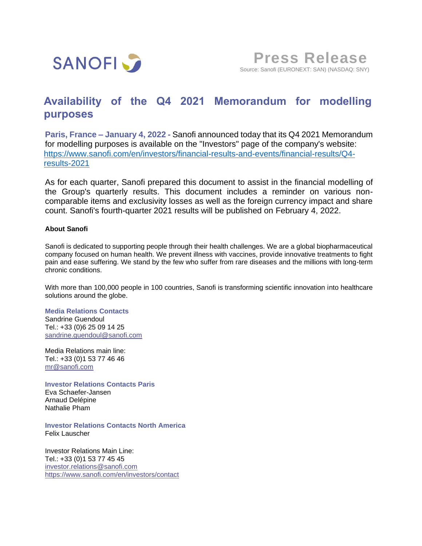

## **Availability of the Q4 2021 Memorandum for modelling purposes**

**Paris, France – January 4, 2022 -** Sanofi announced today that its Q4 2021 Memorandum for modelling purposes is available on the "Investors" page of the company's website: [https://www.sanofi.com/en/investors/financial-results-and-events/financial-results/Q4](https://eur01.safelinks.protection.outlook.com/?url=https%3A%2F%2Fwww.sanofi.com%2Fen%2Finvestors%2Ffinancial-results-and-events%2Ffinancial-results%2FQ4-results-2021&data=04%7C01%7Carnaud.delepine%40sanofi.com%7C4e788617534045aeb45d08d9a905101c%7Caca3c8d6aa714e1aa10e03572fc58c0b%7C0%7C0%7C637726661510723365%7CUnknown%7CTWFpbGZsb3d8eyJWIjoiMC4wLjAwMDAiLCJQIjoiV2luMzIiLCJBTiI6Ik1haWwiLCJXVCI6Mn0%3D%7C3000&sdata=jywFGoQG098LZWntdiaf8nlRZv81WmRsS%2F7yAkQi%2Bg8%3D&reserved=0) [results-2021](https://eur01.safelinks.protection.outlook.com/?url=https%3A%2F%2Fwww.sanofi.com%2Fen%2Finvestors%2Ffinancial-results-and-events%2Ffinancial-results%2FQ4-results-2021&data=04%7C01%7Carnaud.delepine%40sanofi.com%7C4e788617534045aeb45d08d9a905101c%7Caca3c8d6aa714e1aa10e03572fc58c0b%7C0%7C0%7C637726661510723365%7CUnknown%7CTWFpbGZsb3d8eyJWIjoiMC4wLjAwMDAiLCJQIjoiV2luMzIiLCJBTiI6Ik1haWwiLCJXVCI6Mn0%3D%7C3000&sdata=jywFGoQG098LZWntdiaf8nlRZv81WmRsS%2F7yAkQi%2Bg8%3D&reserved=0)

As for each quarter, Sanofi prepared this document to assist in the financial modelling of the Group's quarterly results. This document includes a reminder on various noncomparable items and exclusivity losses as well as the foreign currency impact and share count. Sanofi's fourth-quarter 2021 results will be published on February 4, 2022.

## **About Sanofi**

Sanofi is dedicated to supporting people through their health challenges. We are a global biopharmaceutical company focused on human health. We prevent illness with vaccines, provide innovative treatments to fight pain and ease suffering. We stand by the few who suffer from rare diseases and the millions with long-term chronic conditions.

With more than 100,000 people in 100 countries, Sanofi is transforming scientific innovation into healthcare solutions around the globe.

## **Media Relations Contacts**

Sandrine Guendoul Tel.: +33 (0)6 25 09 14 25 [sandrine.guendoul@sanofi.com](mailto:sandrine.guendoul@sanofi.com)

Media Relations main line: Tel.: +33 (0)1 53 77 46 46 [mr@sanofi.com](mailto:mr@sanofi.com)

**Investor Relations Contacts Paris** Eva Schaefer-Jansen Arnaud Delépine Nathalie Pham

**Investor Relations Contacts North America** Felix Lauscher

Investor Relations Main Line: Tel.: +33 (0)1 53 77 45 45 [investor.relations@sanofi.com](mailto:investor.relations@sanofi.com) <https://www.sanofi.com/en/investors/contact>